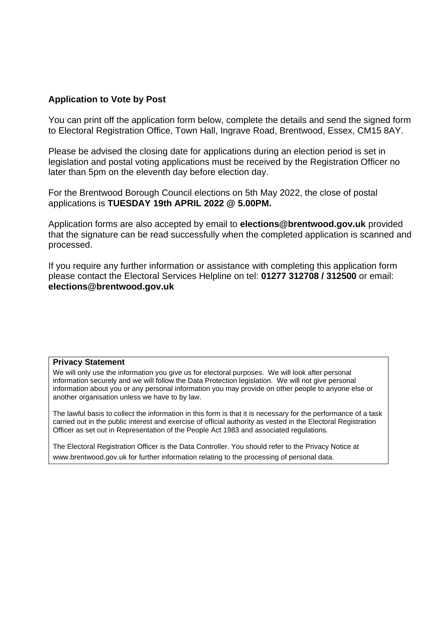## **Application to Vote by Post**

You can print off the application form below, complete the details and send the signed form to Electoral Registration Office, Town Hall, Ingrave Road, Brentwood, Essex, CM15 8AY.

Please be advised the closing date for applications during an election period is set in legislation and postal voting applications must be received by the Registration Officer no later than 5pm on the eleventh day before election day.

For the Brentwood Borough Council elections on 5th May 2022, the close of postal applications is **TUESDAY 19th APRIL 2022 @ 5.00PM.**

Application forms are also accepted by email to **elections@brentwood.gov.uk** provided that the signature can be read successfully when the completed application is scanned and processed.

If you require any further information or assistance with completing this application form please contact the Electoral Services Helpline on tel: **01277 312708 / 312500** or email: **elections@brentwood.gov.uk**

## **Privacy Statement**

We will only use the information you give us for electoral purposes. We will look after personal information securely and we will follow the Data Protection legislation. We will not give personal information about you or any personal information you may provide on other people to anyone else or another organisation unless we have to by law.

The lawful basis to collect the information in this form is that it is necessary for the performance of a task carried out in the public interest and exercise of official authority as vested in the Electoral Registration Officer as set out in Representation of the People Act 1983 and associated regulations.

The Electoral Registration Officer is the Data Controller. You should refer to the Privacy Notice at www.brentwood.gov.uk for further information relating to the processing of personal data.